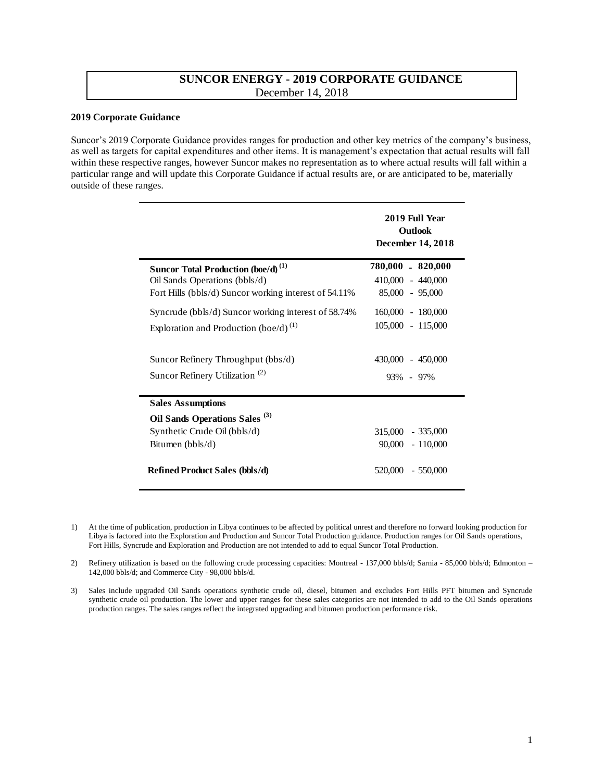## **SUNCOR ENERGY - 2019 CORPORATE GUIDANCE**  December 14, 2018

### **2019 Corporate Guidance**

Suncor's 2019 Corporate Guidance provides ranges for production and other key metrics of the company's business, as well as targets for capital expenditures and other items. It is management's expectation that actual results will fall within these respective ranges, however Suncor makes no representation as to where actual results will fall within a particular range and will update this Corporate Guidance if actual results are, or are anticipated to be, materially outside of these ranges.

|                                                       | 2019 Full Year<br><b>Outlook</b><br><b>December 14, 2018</b> |  |
|-------------------------------------------------------|--------------------------------------------------------------|--|
| <b>Suncor Total Production (boe/d)</b> <sup>(1)</sup> | 780,000 - 820,000                                            |  |
| Oil Sands Operations (bbls/d)                         | 410,000 - 440,000                                            |  |
| Fort Hills (bbls/d) Suncor working interest of 54.11% | $85,000 - 95,000$                                            |  |
| Syncrude (bbls/d) Suncor working interest of 58.74%   | 160,000 - 180,000                                            |  |
| Exploration and Production (boe/d) <sup>(1)</sup>     | $105,000 - 115,000$                                          |  |
| Suncor Refinery Throughput (bbs/d)                    | $430,000 - 450,000$                                          |  |
| Suncor Refinery Utilization <sup>(2)</sup>            | 93% - 97%                                                    |  |
| <b>Sales Assumptions</b>                              |                                                              |  |
| Oil Sands Operations Sales <sup>(3)</sup>             |                                                              |  |
| Synthetic Crude Oil (bbls/d)                          | 315,000 - 335,000                                            |  |
| Bitumen $(bbls/d)$                                    | $90,000 - 110,000$                                           |  |
| <b>Refined Product Sales (bbls/d)</b>                 | 520,000 - 550,000                                            |  |

1) At the time of publication, production in Libya continues to be affected by political unrest and therefore no forward looking production for Libya is factored into the Exploration and Production and Suncor Total Production guidance. Production ranges for Oil Sands operations, Fort Hills, Syncrude and Exploration and Production are not intended to add to equal Suncor Total Production.

2) Refinery utilization is based on the following crude processing capacities: Montreal - 137,000 bbls/d; Sarnia - 85,000 bbls/d; Edmonton – 142,000 bbls/d; and Commerce City - 98,000 bbls/d.

3) Sales include upgraded Oil Sands operations synthetic crude oil, diesel, bitumen and excludes Fort Hills PFT bitumen and Syncrude synthetic crude oil production. The lower and upper ranges for these sales categories are not intended to add to the Oil Sands operations production ranges. The sales ranges reflect the integrated upgrading and bitumen production performance risk.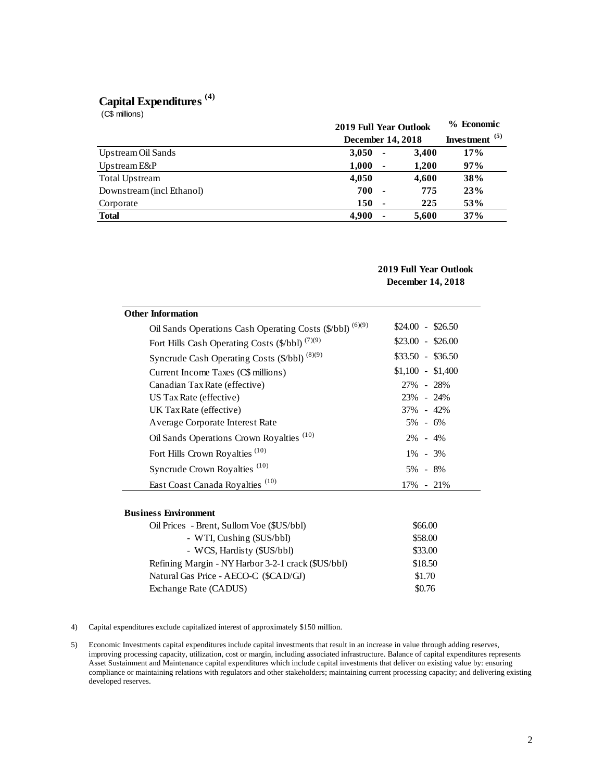# **Capital Expenditures (4)**

| Capital Expenditures <sup>(4)</sup><br>(C\$ millions) |                                                           |                |                                |     |
|-------------------------------------------------------|-----------------------------------------------------------|----------------|--------------------------------|-----|
|                                                       | <b>2019 Full Year Outlook</b><br><b>December 14, 2018</b> |                | % Economic<br>Investment $(5)$ |     |
| Upstream Oil Sands                                    | 3,050                                                     | ٠              | 3,400                          | 17% |
| Upstream E&P                                          | 1,000                                                     | $\blacksquare$ | 1,200                          | 97% |
| Total Upstream                                        | 4,050                                                     |                | 4,600                          | 38% |
| Downstream (incl Ethanol)                             | 700                                                       | ٠              | 775                            | 23% |
| Corporate                                             | 150                                                       | ٠              | 225                            | 53% |
| <b>Total</b>                                          | 4,900                                                     |                | 5,600                          | 37% |

## **2019 Full Year Outlook December 14, 2018**

| <b>Other Information</b>                                   |                     |
|------------------------------------------------------------|---------------------|
| Oil Sands Operations Cash Operating Costs (\$/bbl) (6)(9)  | $$24.00 - $26.50$   |
| Fort Hills Cash Operating Costs (\$/bbl) <sup>(7)(9)</sup> | $$23.00 - $26.00$   |
| Syncrude Cash Operating Costs (\$/bbl) (8)(9)              | $\$33.50 - \$36.50$ |
| Current Income Taxes (C\$ millions)                        | $$1,100 - $1,400$   |
| Canadian Tax Rate (effective)                              | 27% - 28%           |
| US Tax Rate (effective)                                    | $23\% - 24\%$       |
| UK Tax Rate (effective)                                    | $37\% - 42\%$       |
| Average Corporate Interest Rate                            | $5\% - 6\%$         |
| Oil Sands Operations Crown Royalties <sup>(10)</sup>       | $2\% - 4\%$         |
| Fort Hills Crown Royalties <sup>(10)</sup>                 | $1\% - 3\%$         |
| Syncrude Crown Royalties <sup>(10)</sup>                   | 5% - 8%             |
| East Coast Canada Royalties <sup>(10)</sup>                | 17% - 21%           |

### **Business Environment**

| Oil Prices - Brent, Sullom Voe (\$US/bbl)          | \$66.00 |
|----------------------------------------------------|---------|
| - WTI, Cushing (\$US/bbl)                          | \$58.00 |
| - WCS, Hardisty (\$US/bbl)                         | \$33.00 |
| Refining Margin - NY Harbor 3-2-1 crack (\$US/bbl) | \$18.50 |
| Natural Gas Price - AECO-C (\$CAD/GJ)              | \$1.70  |
| Exchange Rate (CADUS)                              | \$0.76  |

4) Capital expenditures exclude capitalized interest of approximately \$150 million.

5) Economic Investments capital expenditures include capital investments that result in an increase in value through adding reserves, improving processing capacity, utilization, cost or margin, including associated infrastructure. Balance of capital expenditures represents Asset Sustainment and Maintenance capital expenditures which include capital investments that deliver on existing value by: ensuring compliance or maintaining relations with regulators and other stakeholders; maintaining current processing capacity; and delivering existing developed reserves.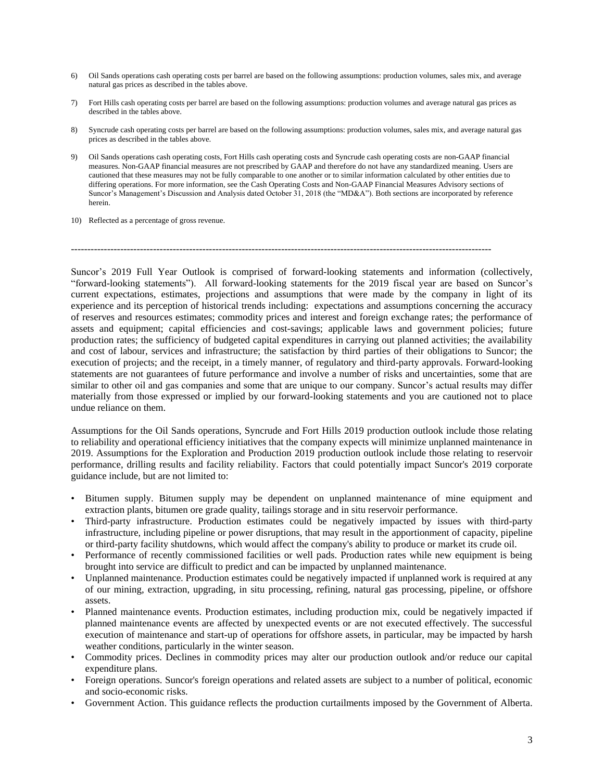- 6) Oil Sands operations cash operating costs per barrel are based on the following assumptions: production volumes, sales mix, and average natural gas prices as described in the tables above.
- 7) Fort Hills cash operating costs per barrel are based on the following assumptions: production volumes and average natural gas prices as described in the tables above.
- 8) Syncrude cash operating costs per barrel are based on the following assumptions: production volumes, sales mix, and average natural gas prices as described in the tables above.
- 9) Oil Sands operations cash operating costs, Fort Hills cash operating costs and Syncrude cash operating costs are non-GAAP financial measures. Non-GAAP financial measures are not prescribed by GAAP and therefore do not have any standardized meaning. Users are cautioned that these measures may not be fully comparable to one another or to similar information calculated by other entities due to differing operations. For more information, see the Cash Operating Costs and Non-GAAP Financial Measures Advisory sections of Suncor's Management's Discussion and Analysis dated October 31, 2018 (the "MD&A"). Both sections are incorporated by reference herein.
- 10) Reflected as a percentage of gross revenue.

--------------------------------------------------------------------------------------------------------------------------------

Suncor's 2019 Full Year Outlook is comprised of forward-looking statements and information (collectively, "forward-looking statements"). All forward-looking statements for the 2019 fiscal year are based on Suncor's current expectations, estimates, projections and assumptions that were made by the company in light of its experience and its perception of historical trends including: expectations and assumptions concerning the accuracy of reserves and resources estimates; commodity prices and interest and foreign exchange rates; the performance of assets and equipment; capital efficiencies and cost-savings; applicable laws and government policies; future production rates; the sufficiency of budgeted capital expenditures in carrying out planned activities; the availability and cost of labour, services and infrastructure; the satisfaction by third parties of their obligations to Suncor; the execution of projects; and the receipt, in a timely manner, of regulatory and third-party approvals. Forward-looking statements are not guarantees of future performance and involve a number of risks and uncertainties, some that are similar to other oil and gas companies and some that are unique to our company. Suncor's actual results may differ materially from those expressed or implied by our forward-looking statements and you are cautioned not to place undue reliance on them.

Assumptions for the Oil Sands operations, Syncrude and Fort Hills 2019 production outlook include those relating to reliability and operational efficiency initiatives that the company expects will minimize unplanned maintenance in 2019. Assumptions for the Exploration and Production 2019 production outlook include those relating to reservoir performance, drilling results and facility reliability. Factors that could potentially impact Suncor's 2019 corporate guidance include, but are not limited to:

- Bitumen supply. Bitumen supply may be dependent on unplanned maintenance of mine equipment and extraction plants, bitumen ore grade quality, tailings storage and in situ reservoir performance.
- Third-party infrastructure. Production estimates could be negatively impacted by issues with third-party infrastructure, including pipeline or power disruptions, that may result in the apportionment of capacity, pipeline or third-party facility shutdowns, which would affect the company's ability to produce or market its crude oil.
- Performance of recently commissioned facilities or well pads. Production rates while new equipment is being brought into service are difficult to predict and can be impacted by unplanned maintenance.
- Unplanned maintenance. Production estimates could be negatively impacted if unplanned work is required at any of our mining, extraction, upgrading, in situ processing, refining, natural gas processing, pipeline, or offshore assets.
- Planned maintenance events. Production estimates, including production mix, could be negatively impacted if planned maintenance events are affected by unexpected events or are not executed effectively. The successful execution of maintenance and start-up of operations for offshore assets, in particular, may be impacted by harsh weather conditions, particularly in the winter season.
- Commodity prices. Declines in commodity prices may alter our production outlook and/or reduce our capital expenditure plans.
- Foreign operations. Suncor's foreign operations and related assets are subject to a number of political, economic and socio-economic risks.
- Government Action. This guidance reflects the production curtailments imposed by the Government of Alberta.